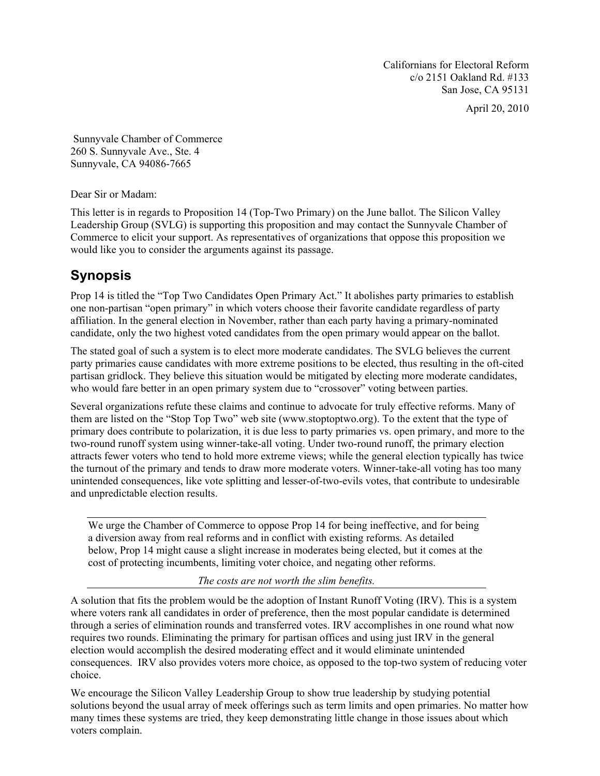Californians for Electoral Reform c/o 2151 Oakland Rd. #133 San Jose, CA 95131

April 20, 2010

 Sunnyvale Chamber of Commerce 260 S. Sunnyvale Ave., Ste. 4 Sunnyvale, CA 94086-7665

Dear Sir or Madam:

This letter is in regards to Proposition 14 (Top-Two Primary) on the June ballot. The Silicon Valley Leadership Group (SVLG) is supporting this proposition and may contact the Sunnyvale Chamber of Commerce to elicit your support. As representatives of organizations that oppose this proposition we would like you to consider the arguments against its passage.

## **Synopsis**

Prop 14 is titled the "Top Two Candidates Open Primary Act." It abolishes party primaries to establish one non-partisan "open primary" in which voters choose their favorite candidate regardless of party affiliation. In the general election in November, rather than each party having a primary-nominated candidate, only the two highest voted candidates from the open primary would appear on the ballot.

The stated goal of such a system is to elect more moderate candidates. The SVLG believes the current party primaries cause candidates with more extreme positions to be elected, thus resulting in the oft-cited partisan gridlock. They believe this situation would be mitigated by electing more moderate candidates, who would fare better in an open primary system due to "crossover" voting between parties.

Several organizations refute these claims and continue to advocate for truly effective reforms. Many of them are listed on the "Stop Top Two" web site (www.stoptoptwo.org). To the extent that the type of primary does contribute to polarization, it is due less to party primaries vs. open primary, and more to the two-round runoff system using winner-take-all voting. Under two-round runoff, the primary election attracts fewer voters who tend to hold more extreme views; while the general election typically has twice the turnout of the primary and tends to draw more moderate voters. Winner-take-all voting has too many unintended consequences, like vote splitting and lesser-of-two-evils votes, that contribute to undesirable and unpredictable election results.

We urge the Chamber of Commerce to oppose Prop 14 for being ineffective, and for being a diversion away from real reforms and in conflict with existing reforms. As detailed below, Prop 14 might cause a slight increase in moderates being elected, but it comes at the cost of protecting incumbents, limiting voter choice, and negating other reforms.

*The costs are not worth the slim benefits.* 

A solution that fits the problem would be the adoption of Instant Runoff Voting (IRV). This is a system where voters rank all candidates in order of preference, then the most popular candidate is determined through a series of elimination rounds and transferred votes. IRV accomplishes in one round what now requires two rounds. Eliminating the primary for partisan offices and using just IRV in the general election would accomplish the desired moderating effect and it would eliminate unintended consequences. IRV also provides voters more choice, as opposed to the top-two system of reducing voter choice.

We encourage the Silicon Valley Leadership Group to show true leadership by studying potential solutions beyond the usual array of meek offerings such as term limits and open primaries. No matter how many times these systems are tried, they keep demonstrating little change in those issues about which voters complain.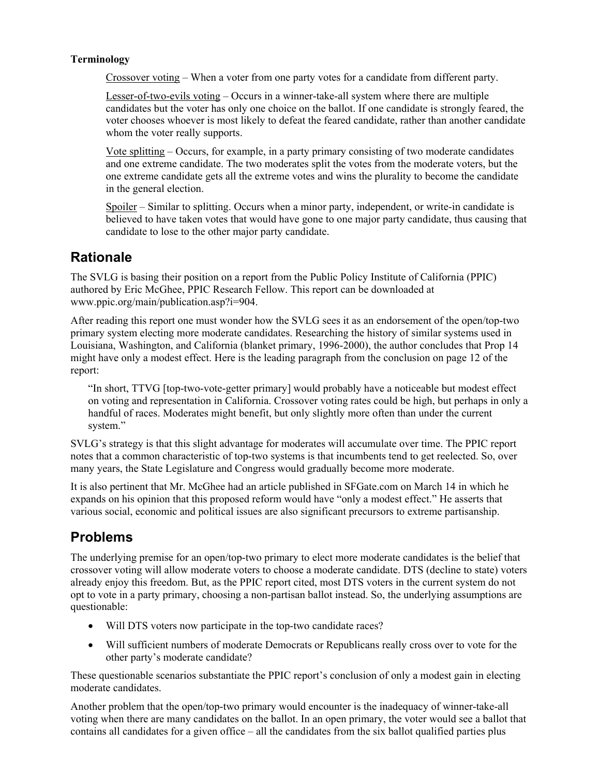## **Terminology**

Crossover voting – When a voter from one party votes for a candidate from different party.

Lesser-of-two-evils voting – Occurs in a winner-take-all system where there are multiple candidates but the voter has only one choice on the ballot. If one candidate is strongly feared, the voter chooses whoever is most likely to defeat the feared candidate, rather than another candidate whom the voter really supports.

Vote splitting – Occurs, for example, in a party primary consisting of two moderate candidates and one extreme candidate. The two moderates split the votes from the moderate voters, but the one extreme candidate gets all the extreme votes and wins the plurality to become the candidate in the general election.

Spoiler – Similar to splitting. Occurs when a minor party, independent, or write-in candidate is believed to have taken votes that would have gone to one major party candidate, thus causing that candidate to lose to the other major party candidate.

## **Rationale**

The SVLG is basing their position on a report from the Public Policy Institute of California (PPIC) authored by Eric McGhee, PPIC Research Fellow. This report can be downloaded at www.ppic.org/main/publication.asp?i=904.

After reading this report one must wonder how the SVLG sees it as an endorsement of the open/top-two primary system electing more moderate candidates. Researching the history of similar systems used in Louisiana, Washington, and California (blanket primary, 1996-2000), the author concludes that Prop 14 might have only a modest effect. Here is the leading paragraph from the conclusion on page 12 of the report:

"In short, TTVG [top-two-vote-getter primary] would probably have a noticeable but modest effect on voting and representation in California. Crossover voting rates could be high, but perhaps in only a handful of races. Moderates might benefit, but only slightly more often than under the current system."

SVLG's strategy is that this slight advantage for moderates will accumulate over time. The PPIC report notes that a common characteristic of top-two systems is that incumbents tend to get reelected. So, over many years, the State Legislature and Congress would gradually become more moderate.

It is also pertinent that Mr. McGhee had an article published in SFGate.com on March 14 in which he expands on his opinion that this proposed reform would have "only a modest effect." He asserts that various social, economic and political issues are also significant precursors to extreme partisanship.

## **Problems**

The underlying premise for an open/top-two primary to elect more moderate candidates is the belief that crossover voting will allow moderate voters to choose a moderate candidate. DTS (decline to state) voters already enjoy this freedom. But, as the PPIC report cited, most DTS voters in the current system do not opt to vote in a party primary, choosing a non-partisan ballot instead. So, the underlying assumptions are questionable:

- Will DTS voters now participate in the top-two candidate races?
- Will sufficient numbers of moderate Democrats or Republicans really cross over to vote for the other party's moderate candidate?

These questionable scenarios substantiate the PPIC report's conclusion of only a modest gain in electing moderate candidates.

Another problem that the open/top-two primary would encounter is the inadequacy of winner-take-all voting when there are many candidates on the ballot. In an open primary, the voter would see a ballot that contains all candidates for a given office – all the candidates from the six ballot qualified parties plus